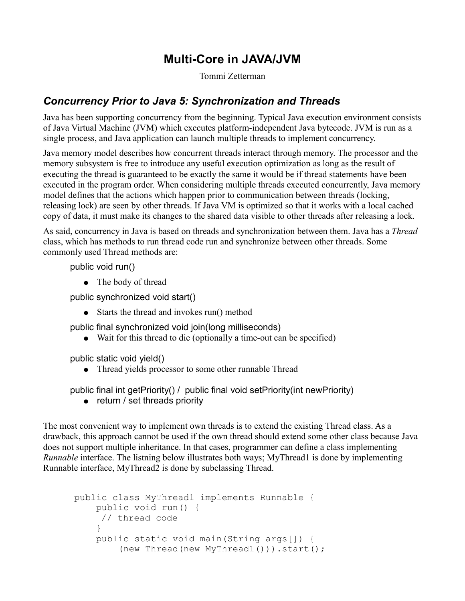# **Multi-Core in JAVA/JVM**

Tommi Zetterman

### *Concurrency Prior to Java 5: Synchronization and Threads*

Java has been supporting concurrency from the beginning. Typical Java execution environment consists of Java Virtual Machine (JVM) which executes platform-independent Java bytecode. JVM is run as a single process, and Java application can launch multiple threads to implement concurrency.

Java memory model describes how concurrent threads interact through memory. The processor and the memory subsystem is free to introduce any useful execution optimization as long as the result of executing the thread is guaranteed to be exactly the same it would be if thread statements have been executed in the program order. When considering multiple threads executed concurrently, Java memory model defines that the actions which happen prior to communication between threads (locking, releasing lock) are seen by other threads. If Java VM is optimized so that it works with a local cached copy of data, it must make its changes to the shared data visible to other threads after releasing a lock.

As said, concurrency in Java is based on threads and synchronization between them. Java has a *Thread* class, which has methods to run thread code run and synchronize between other threads. Some commonly used Thread methods are:

public void run()

• The body of thread

public synchronized void start()

• Starts the thread and invokes run() method

public final synchronized void join(long milliseconds)

• Wait for this thread to die (optionally a time-out can be specified)

public static void yield()

● Thread yields processor to some other runnable Thread

public final int getPriority() / public final void setPriority(int newPriority)

• return / set threads priority

The most convenient way to implement own threads is to extend the existing Thread class. As a drawback, this approach cannot be used if the own thread should extend some other class because Java does not support multiple inheritance. In that cases, programmer can define a class implementing *Runnable* interface. The listning below illustrates both ways; MyThread1 is done by implementing Runnable interface, MyThread2 is done by subclassing Thread.

```
public class MyThread1 implements Runnable { 
    public void run() { 
     // thread code 
    } 
    public static void main(String args[]) { 
        (new Thread(new MyThread1())).start();
```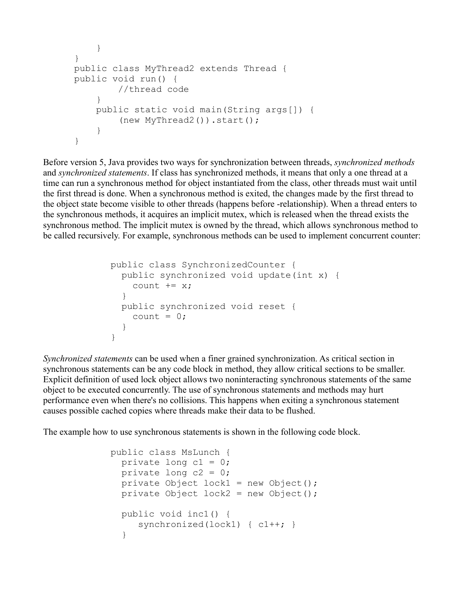```
} 
} 
public class MyThread2 extends Thread { 
public void run() { 
        //thread code 
    } 
    public static void main(String args[]) { 
         (new MyThread2()).start(); 
    } 
}
```
Before version 5, Java provides two ways for synchronization between threads, *synchronized methods* and *synchronized statements*. If class has synchronized methods, it means that only a one thread at a time can run a synchronous method for object instantiated from the class, other threads must wait until the first thread is done. When a synchronous method is exited, the changes made by the first thread to the object state become visible to other threads (happens before -relationship). When a thread enters to the synchronous methods, it acquires an implicit mutex, which is released when the thread exists the synchronous method. The implicit mutex is owned by the thread, which allows synchronous method to be called recursively. For example, synchronous methods can be used to implement concurrent counter:

```
public class SynchronizedCounter {
   public synchronized void update(int x) {
    count += x; }
   public synchronized void reset {
    count = 0; } 
}
```
*Synchronized statements* can be used when a finer grained synchronization. As critical section in synchronous statements can be any code block in method, they allow critical sections to be smaller. Explicit definition of used lock object allows two noninteracting synchronous statements of the same object to be executed concurrently. The use of synchronous statements and methods may hurt performance even when there's no collisions. This happens when exiting a synchronous statement causes possible cached copies where threads make their data to be flushed.

The example how to use synchronous statements is shown in the following code block.

```
public class MsLunch { 
  private long c1 = 0;
  private long c2 = 0;
  private Object lock1 = new Object();
  private Object lock2 = new Object();
   public void inc1() { 
     synchronized(lock1) { c1++; }
   }
```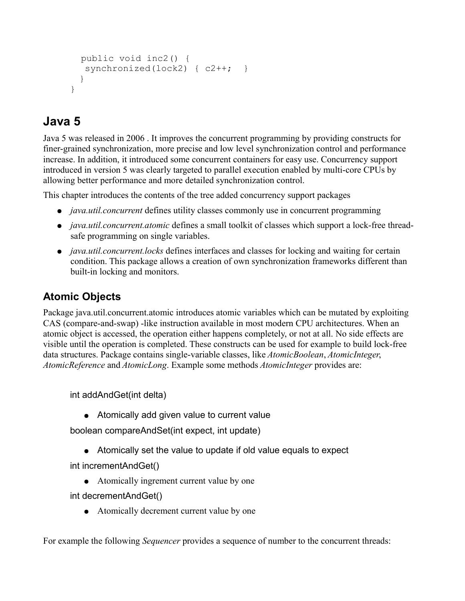```
 public void inc2() { 
  synchronized(lock2) { c2++; }
  } 
}
```
# **Java 5**

Java 5 was released in 2006 . It improves the concurrent programming by providing constructs for finer-grained synchronization, more precise and low level synchronization control and performance increase. In addition, it introduced some concurrent containers for easy use. Concurrency support introduced in version 5 was clearly targeted to parallel execution enabled by multi-core CPUs by allowing better performance and more detailed synchronization control.

This chapter introduces the contents of the tree added concurrency support packages

- *java.util.concurrent* defines utility classes commonly use in concurrent programming
- *java.util.concurrent.atomic* defines a small toolkit of classes which support a lock-free threadsafe programming on single variables.
- *java.util.concurrent.locks* defines interfaces and classes for locking and waiting for certain condition. This package allows a creation of own synchronization frameworks different than built-in locking and monitors.

### **Atomic Objects**

Package java.util.concurrent.atomic introduces atomic variables which can be mutated by exploiting CAS (compare-and-swap) -like instruction available in most modern CPU architectures. When an atomic object is accessed, the operation either happens completely, or not at all. No side effects are visible until the operation is completed. These constructs can be used for example to build lock-free data structures. Package contains single-variable classes, like *AtomicBoolean*, *AtomicInteger*, *AtomicReference* and *AtomicLong*. Example some methods *AtomicInteger* provides are:

int addAndGet(int delta)

● Atomically add given value to current value

boolean compareAndSet(int expect, int update)

● Atomically set the value to update if old value equals to expect

int incrementAndGet()

• Atomically ingrement current value by one

int decrementAndGet()

• Atomically decrement current value by one

For example the following *Sequencer* provides a sequence of number to the concurrent threads: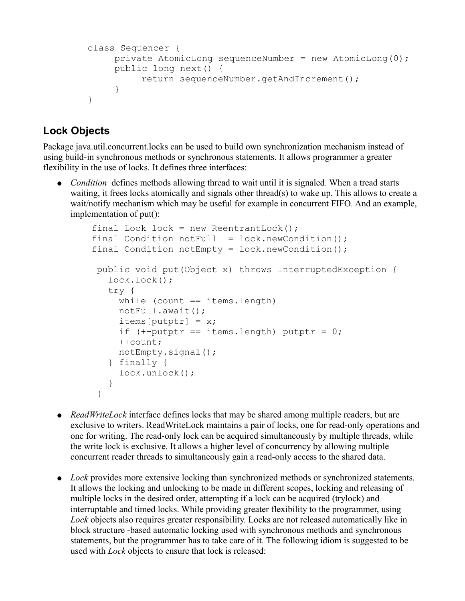```
class Sequencer { 
     private AtomicLong sequenceNumber = new AtomicLong(0);
     public long next() { 
          return sequenceNumber.getAndIncrement(); 
     } 
}
```
### **Lock Objects**

Package java.util.concurrent.locks can be used to build own synchronization mechanism instead of using build-in synchronous methods or synchronous statements. It allows programmer a greater flexibility in the use of locks. It defines three interfaces:

• *Condition* defines methods allowing thread to wait until it is signaled. When a tread starts waiting, it frees locks atomically and signals other thread(s) to wake up. This allows to create a wait/notify mechanism which may be useful for example in concurrent FIFO. And an example, implementation of put():

```
final Lock lock = new ReentrantLock();
final Condition notFull = lock.newCondition();
final Condition notEmpty = lock.newCondition();
public void put(Object x) throws InterruptedException {
    lock.lock();
    try {
      while (count == items.length) 
      notFull.await();
     items[putptr] = x;if (++putptr == items.length) putptr = 0;
      ++count;
      notEmpty.signal();
    } finally {
      lock.unlock();
    }
  }
```
- *ReadWriteLock* interface defines locks that may be shared among multiple readers, but are exclusive to writers. ReadWriteLock maintains a pair of locks, one for read-only operations and one for writing. The read-only lock can be acquired simultaneously by multiple threads, while the write lock is exclusive. It allows a higher level of concurrency by allowing multiple concurrent reader threads to simultaneously gain a read-only access to the shared data.
- *Lock* provides more extensive locking than synchronized methods or synchronized statements. It allows the locking and unlocking to be made in different scopes, locking and releasing of multiple locks in the desired order, attempting if a lock can be acquired (trylock) and interruptable and timed locks. While providing greater flexibility to the programmer, using *Lock* objects also requires greater responsibility. Locks are not released automatically like in block structure -based automatic locking used with synchronous methods and synchronous statements, but the programmer has to take care of it. The following idiom is suggested to be used with *Lock* objects to ensure that lock is released: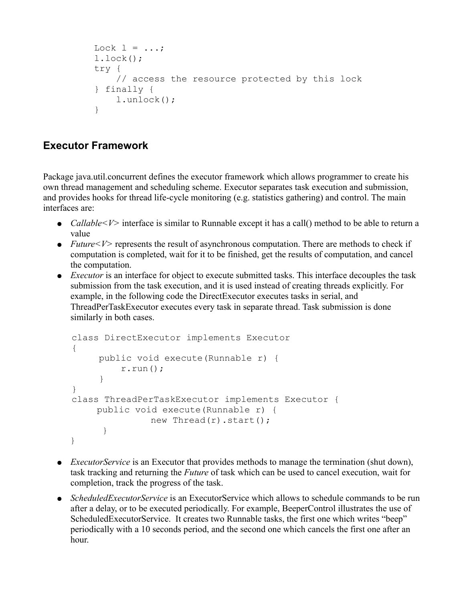```
Lock l = \ldots; l.lock();
 try {
     // access the resource protected by this lock
 } finally {
     l.unlock();
 }
```
### **Executor Framework**

Package java.util.concurrent defines the executor framework which allows programmer to create his own thread management and scheduling scheme. Executor separates task execution and submission, and provides hooks for thread life-cycle monitoring (e.g. statistics gathering) and control. The main interfaces are:

- *Callable* < *V* > interface is similar to Runnable except it has a call() method to be able to return a value
- *Future*  $\leq V$  represents the result of asynchronous computation. There are methods to check if computation is completed, wait for it to be finished, get the results of computation, and cancel the computation.
- *Executor* is an interface for object to execute submitted tasks. This interface decouples the task submission from the task execution, and it is used instead of creating threads explicitly. For example, in the following code the DirectExecutor executes tasks in serial, and ThreadPerTaskExecutor executes every task in separate thread. Task submission is done similarly in both cases.

```
class DirectExecutor implements Executor 
{ 
     public void execute(Runnable r) { 
         r.run(); 
     } 
} 
class ThreadPerTaskExecutor implements Executor { 
     public void execute(Runnable r) { 
               new Thread(r).start();
      } 
}
```
- *ExecutorService* is an Executor that provides methods to manage the termination (shut down), task tracking and returning the *Future* of task which can be used to cancel execution, wait for completion, track the progress of the task.
- *ScheduledExecutorService* is an ExecutorService which allows to schedule commands to be run after a delay, or to be executed periodically. For example, BeeperControl illustrates the use of ScheduledExecutorService. It creates two Runnable tasks, the first one which writes "beep" periodically with a 10 seconds period, and the second one which cancels the first one after an hour.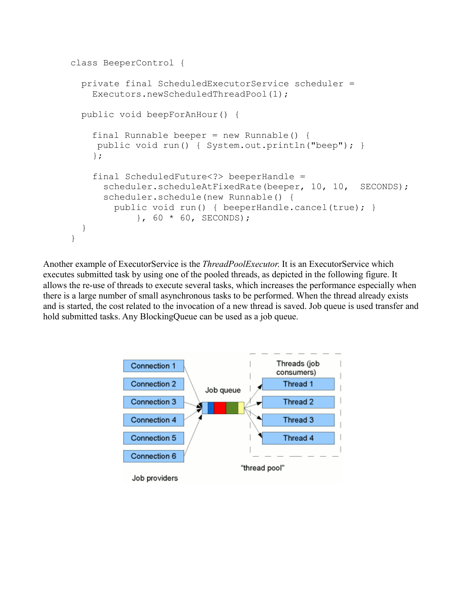```
class BeeperControl { 
  private final ScheduledExecutorService scheduler = 
     Executors.newScheduledThreadPool(1); 
  public void beepForAnHour() { 
    final Runnable beeper = new Runnable() {
     public void run() { System.out.println("beep"); } 
    }; 
    final ScheduledFuture<?> beeperHandle = 
      scheduler.scheduleAtFixedRate(beeper, 10, 10, SECONDS);
      scheduler.schedule(new Runnable() { 
         public void run() { beeperHandle.cancel(true); } 
            }, 60 * 60, SECONDS);} 
}
```
Another example of ExecutorService is the *ThreadPoolExecutor*. It is an ExecutorService which executes submitted task by using one of the pooled threads, as depicted in the following figure. It allows the re-use of threads to execute several tasks, which increases the performance especially when there is a large number of small asynchronous tasks to be performed. When the thread already exists and is started, the cost related to the invocation of a new thread is saved. Job queue is used transfer and hold submitted tasks. Any BlockingQueue can be used as a job queue.

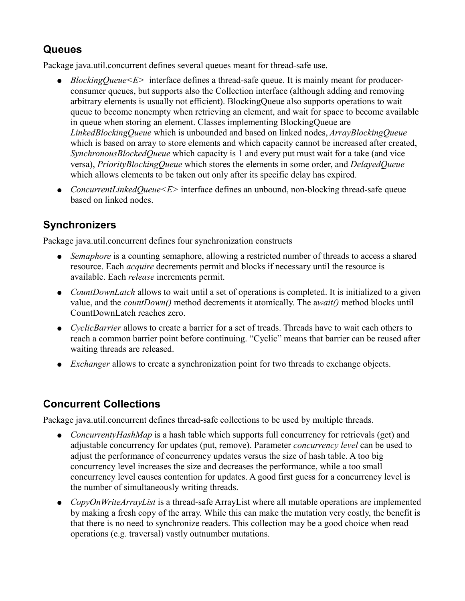### **Queues**

Package java.util.concurrent defines several queues meant for thread-safe use.

- *BlockingQueue<E>* interface defines a thread-safe queue. It is mainly meant for producerconsumer queues, but supports also the Collection interface (although adding and removing arbitrary elements is usually not efficient). BlockingQueue also supports operations to wait queue to become nonempty when retrieving an element, and wait for space to become available in queue when storing an element. Classes implementing BlockingQueue are *LinkedBlockingQueue* which is unbounded and based on linked nodes, *ArrayBlockingQueue* which is based on array to store elements and which capacity cannot be increased after created, *SynchronousBlockedQueue* which capacity is 1 and every put must wait for a take (and vice versa), *PriorityBlockingQueue* which stores the elements in some order, and *DelayedQueue* which allows elements to be taken out only after its specific delay has expired.
- *ConcurrentLinkedQueue<E>* interface defines an unbound, non-blocking thread-safe queue based on linked nodes.

### **Synchronizers**

Package java.util.concurrent defines four synchronization constructs

- *Semaphore* is a counting semaphore, allowing a restricted number of threads to access a shared resource. Each *acquire* decrements permit and blocks if necessary until the resource is available. Each *release* increments permit.
- *CountDownLatch* allows to wait until a set of operations is completed. It is initialized to a given value, and the *countDown()* method decrements it atomically. The a*wait()* method blocks until CountDownLatch reaches zero.
- *CyclicBarrier* allows to create a barrier for a set of treads. Threads have to wait each others to reach a common barrier point before continuing. "Cyclic" means that barrier can be reused after waiting threads are released.
- *Exchanger* allows to create a synchronization point for two threads to exchange objects.

### **Concurrent Collections**

Package java.util.concurrent defines thread-safe collections to be used by multiple threads.

- *ConcurrentyHashMap* is a hash table which supports full concurrency for retrievals (get) and adjustable concurrency for updates (put, remove). Parameter *concurrency level* can be used to adjust the performance of concurrency updates versus the size of hash table. A too big concurrency level increases the size and decreases the performance, while a too small concurrency level causes contention for updates. A good first guess for a concurrency level is the number of simultaneously writing threads.
- *CopyOnWriteArrayList* is a thread-safe ArrayList where all mutable operations are implemented by making a fresh copy of the array. While this can make the mutation very costly, the benefit is that there is no need to synchronize readers. This collection may be a good choice when read operations (e.g. traversal) vastly outnumber mutations.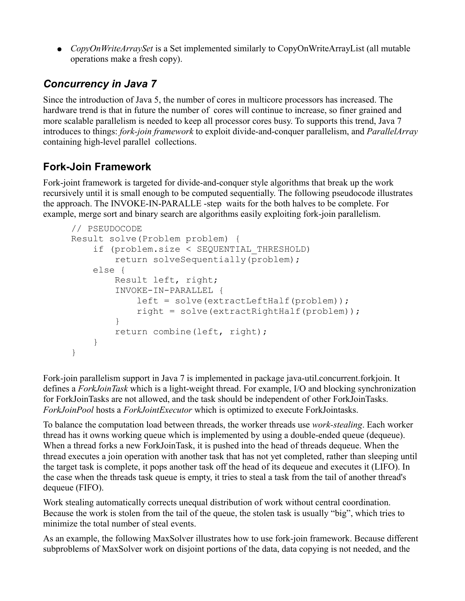● *CopyOnWriteArraySet* is a Set implemented similarly to CopyOnWriteArrayList (all mutable operations make a fresh copy).

### *Concurrency in Java 7*

Since the introduction of Java 5, the number of cores in multicore processors has increased. The hardware trend is that in future the number of cores will continue to increase, so finer grained and more scalable parallelism is needed to keep all processor cores busy. To supports this trend, Java 7 introduces to things: *fork-join framework* to exploit divide-and-conquer parallelism, and *ParallelArray* containing high-level parallel collections.

### **Fork-Join Framework**

Fork-joint framework is targeted for divide-and-conquer style algorithms that break up the work recursively until it is small enough to be computed sequentially. The following pseudocode illustrates the approach. The INVOKE-IN-PARALLE -step waits for the both halves to be complete. For example, merge sort and binary search are algorithms easily exploiting fork-join parallelism.

```
// PSEUDOCODE 
Result solve(Problem problem) { 
    if (problem.size < SEQUENTIAL_THRESHOLD)
        return solveSequentially(problem); 
    else { 
        Result left, right; 
        INVOKE-IN-PARALLEL { 
             left = solve(extractLeftHalf(problem)); 
            right = solve(extractRightHalf(problem));
        } 
        return combine(left, right); 
    } 
}
```
Fork-join parallelism support in Java 7 is implemented in package java-util.concurrent.forkjoin. It defines a *ForkJoinTask* which is a light-weight thread. For example, I/O and blocking synchronization for ForkJoinTasks are not allowed, and the task should be independent of other ForkJoinTasks. *ForkJoinPool* hosts a *ForkJointExecutor* which is optimized to execute ForkJointasks.

To balance the computation load between threads, the worker threads use *work-stealing*. Each worker thread has it owns working queue which is implemented by using a double-ended queue (dequeue). When a thread forks a new ForkJoinTask, it is pushed into the head of threads dequeue. When the thread executes a join operation with another task that has not yet completed, rather than sleeping until the target task is complete, it pops another task off the head of its dequeue and executes it (LIFO). In the case when the threads task queue is empty, it tries to steal a task from the tail of another thread's dequeue (FIFO).

Work stealing automatically corrects unequal distribution of work without central coordination. Because the work is stolen from the tail of the queue, the stolen task is usually "big", which tries to minimize the total number of steal events.

As an example, the following MaxSolver illustrates how to use fork-join framework. Because different subproblems of MaxSolver work on disjoint portions of the data, data copying is not needed, and the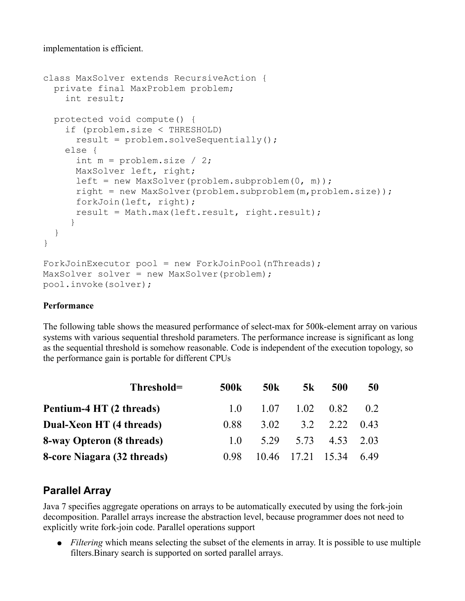implementation is efficient.

```
class MaxSolver extends RecursiveAction {
   private final MaxProblem problem;
     int result;
   protected void compute() {
     if (problem.size < THRESHOLD)
       result = problem.solveSequentially();
     else {
      int m = problem.size / 2;
       MaxSolver left, right;
      left = new MaxSolver(problem.subproblem(0, m)); right = new MaxSolver(problem.subproblem(m,problem.size));
       forkJoin(left, right);
       result = Math.max(left.result, right.result);
     }
   }
}
ForkJoinExecutor pool = new ForkJoinPool (nThreads);
MaxSolver solver = new MaxSolver(problem);
pool.invoke(solver);
```
#### **Performance**

The following table shows the measured performance of select-max for 500k-element array on various systems with various sequential threshold parameters. The performance increase is significant as long as the sequential threshold is somehow reasonable. Code is independent of the execution topology, so the performance gain is portable for different CPUs

| Threshold=                  | <b>500k</b> | <b>50k</b>                       | 5k | 500                 | 50   |
|-----------------------------|-------------|----------------------------------|----|---------------------|------|
| Pentium-4 HT (2 threads)    |             | $1.0$ $1.07$ $1.02$ $0.82$ $0.2$ |    |                     |      |
| Dual-Xeon HT (4 threads)    | 0.88        | 3.02                             |    | 3.2 2.22            | 0.43 |
| 8-way Opteron (8 threads)   | $10^{-1}$   |                                  |    | 5.29 5.73 4.53 2.03 |      |
| 8-core Niagara (32 threads) | 0.98        |                                  |    | 10.46 17.21 15.34   | 6.49 |

### **Parallel Array**

Java 7 specifies aggregate operations on arrays to be automatically executed by using the fork-join decomposition. Parallel arrays increase the abstraction level, because programmer does not need to explicitly write fork-join code. Parallel operations support

• *Filtering* which means selecting the subset of the elements in array. It is possible to use multiple filters.Binary search is supported on sorted parallel arrays.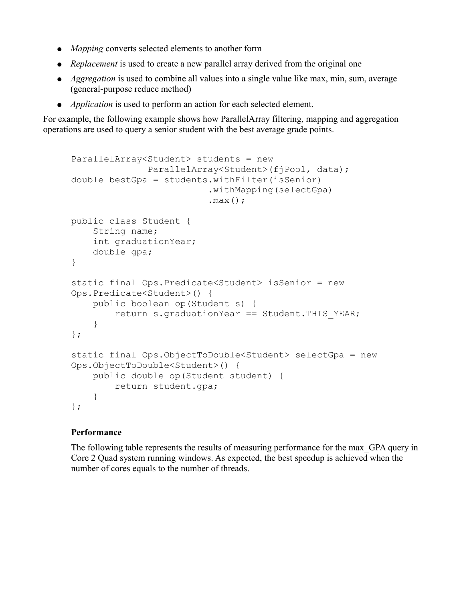- *Mapping* converts selected elements to another form
- *Replacement* is used to create a new parallel array derived from the original one
- *Aggregation* is used to combine all values into a single value like max, min, sum, average (general-purpose reduce method)
- *Application* is used to perform an action for each selected element.

For example, the following example shows how ParallelArray filtering, mapping and aggregation operations are used to query a senior student with the best average grade points.

```
ParallelArray<Student> students = new 
               ParallelArray<Student>(fjPool, data); 
double bestGpa = students.withFilter(isSenior) 
                          .withMapping(selectGpa) 
                          .max();
public class Student { 
    String name; 
    int graduationYear; 
    double gpa; 
} 
static final Ops.Predicate<Student> isSenior = new
Ops.Predicate<Student>() { 
    public boolean op(Student s) { 
        return s.graduationYear == Student.THIS_YEAR; 
    } 
}; 
static final Ops.ObjectToDouble<Student> selectGpa = new
Ops.ObjectToDouble<Student>() { 
    public double op(Student student) { 
        return student.gpa; 
    } 
};
```
#### **Performance**

The following table represents the results of measuring performance for the max\_GPA query in Core 2 Quad system running windows. As expected, the best speedup is achieved when the number of cores equals to the number of threads.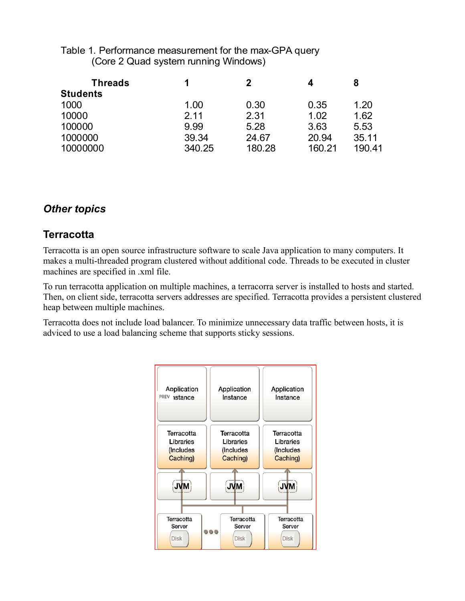#### Table 1. Performance measurement for the max-GPA query (Core 2 Quad system running Windows)

| Threads         |        | 2      | 4      |        |
|-----------------|--------|--------|--------|--------|
| <b>Students</b> |        |        |        |        |
| 1000            | 1.00   | 0.30   | 0.35   | 1.20   |
| 10000           | 2.11   | 2.31   | 1.02   | 1.62   |
| 100000          | 9.99   | 5.28   | 3.63   | 5.53   |
| 1000000         | 39.34  | 24.67  | 20.94  | 35.11  |
| 10000000        | 340.25 | 180.28 | 160.21 | 190.41 |

### *Other topics*

### **Terracotta**

Terracotta is an open source infrastructure software to scale Java application to many computers. It makes a multi-threaded program clustered without additional code. Threads to be executed in cluster machines are specified in .xml file.

To run terracotta application on multiple machines, a terracorra server is installed to hosts and started. Then, on client side, terracotta servers addresses are specified. Terracotta provides a persistent clustered heap between multiple machines.

Terracotta does not include load balancer. To minimize unnecessary data traffic between hosts, it is adviced to use a load balancing scheme that supports sticky sessions.

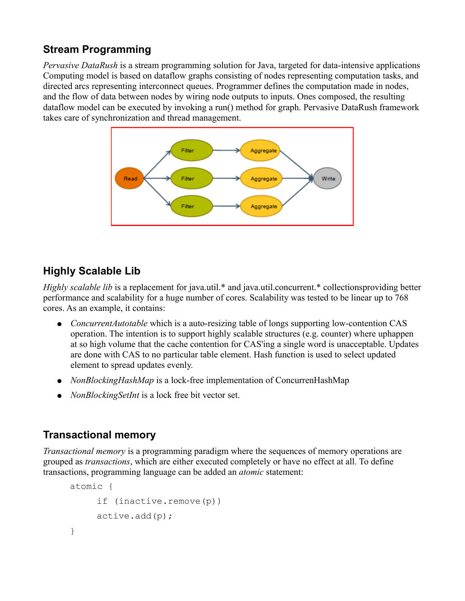### **Stream Programming**

*Pervasive DataRush* is a stream programming solution for Java, targeted for data-intensive applications Computing model is based on dataflow graphs consisting of nodes representing computation tasks, and directed arcs representing interconnect queues. Programmer defines the computation made in nodes, and the flow of data between nodes by wiring node outputs to inputs. Ones composed, the resulting dataflow model can be executed by invoking a run() method for graph. Pervasive DataRush framework takes care of synchronization and thread management.



### **Highly Scalable Lib**

*Highly scalable lib* is a replacement for java.util.\* and java.util.concurrent.\* collectionsproviding better performance and scalability for a huge number of cores. Scalability was tested to be linear up to 768 cores. As an example, it contains:

- *ConcurrentAutotable* which is a auto-resizing table of longs supporting low-contention CAS operation. The intention is to support highly scalable structures (e.g. counter) where uphappen at so high volume that the cache contention for CAS'ing a single word is unacceptable. Updates are done with CAS to no particular table element. Hash function is used to select updated element to spread updates evenly.
- *NonBlockingHashMap* is a lock-free implementation of ConcurrenHashMap
- *NonBlockingSetInt* is a lock free bit vector set.

### **Transactional memory**

*Transactional memory* is a programming paradigm where the sequences of memory operations are grouped as *transactions*, which are either executed completely or have no effect at all. To define transactions, programming language can be added an *atomic* statement:

```
atomic {
     if (inactive.remove(p))
     active.add(p);
}
```